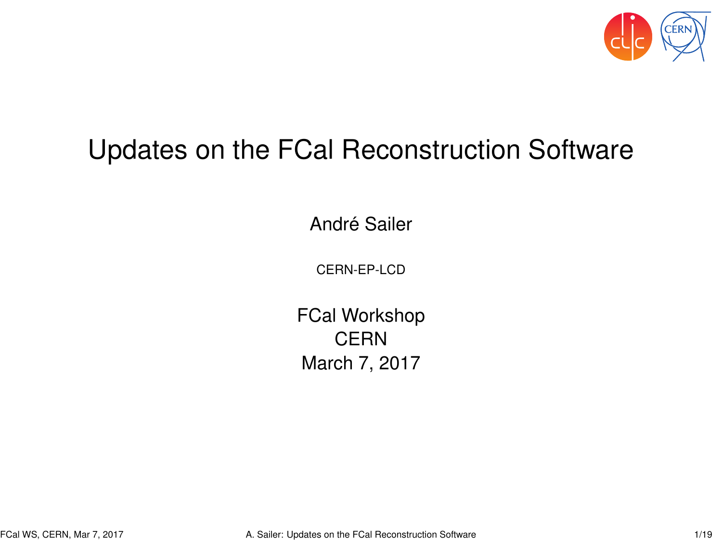

#### <span id="page-0-0"></span>Updates on the FCal Reconstruction Software

André Sailer

CERN-EP-LCD

FCal Workshop **CERN** March 7, 2017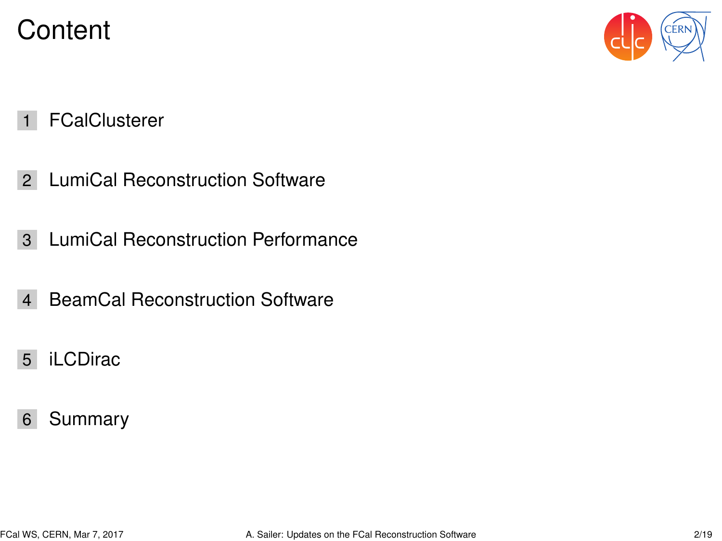#### **Content**



- [FCalClusterer](#page-2-0)
- [LumiCal Reconstruction Software](#page-3-0)
- [LumiCal Reconstruction Performance](#page-5-0)
- [BeamCal Reconstruction Software](#page-18-0)
- [iLCDirac](#page-19-0)
- [Summary](#page-20-0)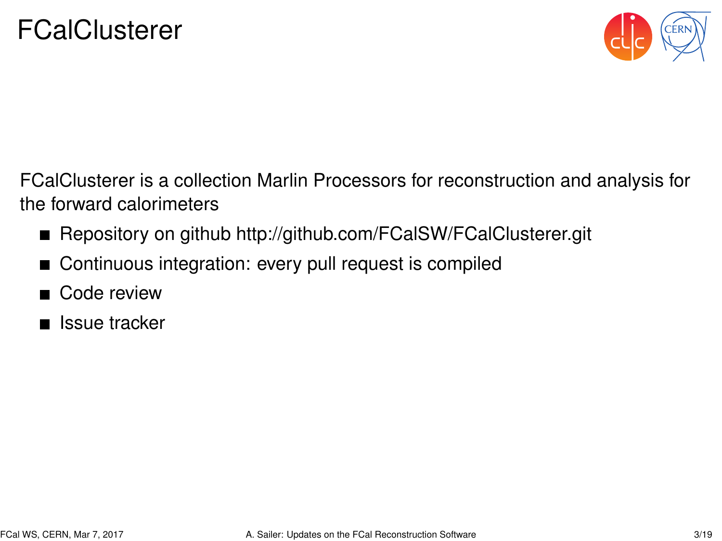

<span id="page-2-0"></span>FCalClusterer is a collection Marlin Processors for reconstruction and analysis for the forward calorimeters

- Repository on github<http://github.com/FCalSW/FCalClusterer.git>
- Continuous integration: every pull request is compiled  $\blacksquare$
- Code review
- $\blacksquare$  Issue tracker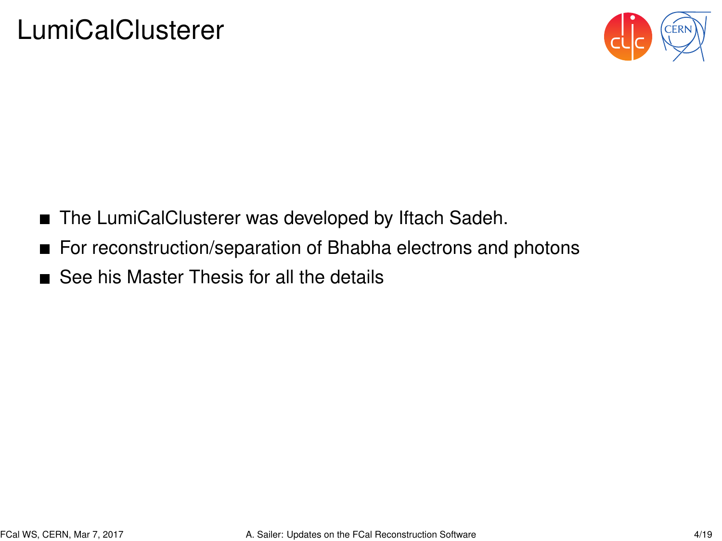

- <span id="page-3-0"></span>■ The LumiCalClusterer was developed by Iftach Sadeh.
- For reconstruction/separation of Bhabha electrons and photons
- See his Master Thesis for all the details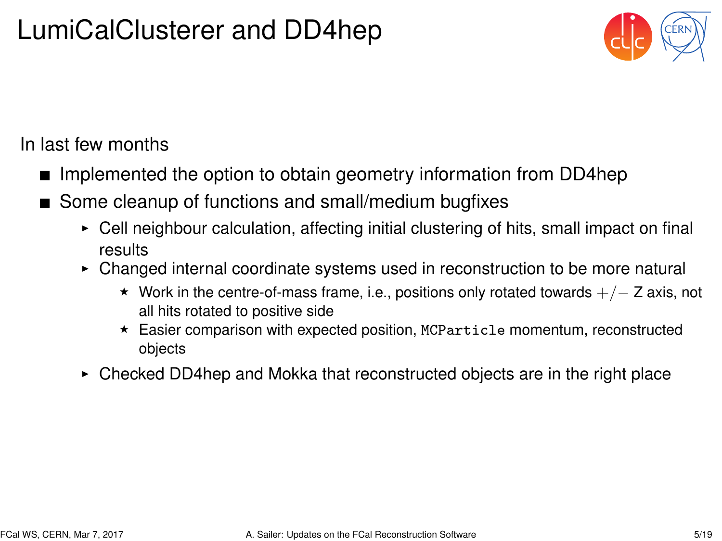## LumiCalClusterer and DD4hep



In last few months

- Implemented the option to obtain geometry information from DD4hep
- Some cleanup of functions and small/medium bugfixes
	- $\triangleright$  Cell neighbour calculation, affecting initial clustering of hits, small impact on final results
	- $\triangleright$  Changed internal coordinate systems used in reconstruction to be more natural
		- $\star$  Work in the centre-of-mass frame, i.e., positions only rotated towards  $+/- Z$  axis, not all hits rotated to positive side
		- $\star$  Easier comparison with expected position, MCParticle momentum, reconstructed objects
	- $\triangleright$  Checked DD4hep and Mokka that reconstructed objects are in the right place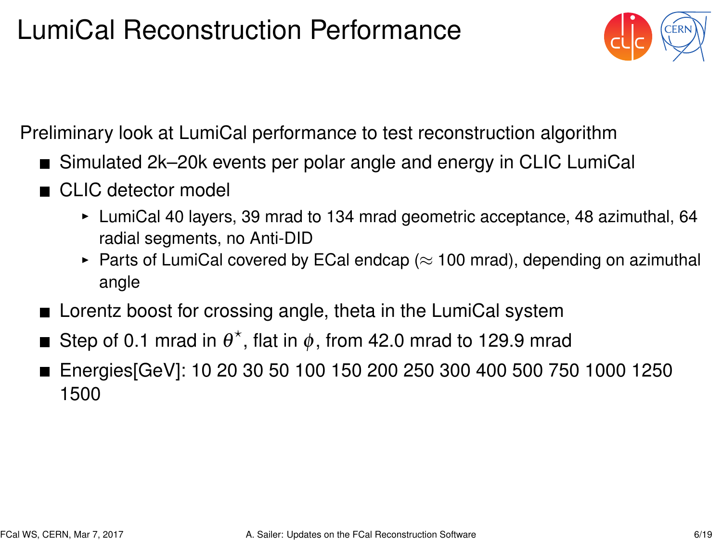# <span id="page-5-0"></span>LumiCal Reconstruction Performance



Preliminary look at LumiCal performance to test reconstruction algorithm

- Simulated 2k–20k events per polar angle and energy in CLIC LumiCal
- CLIC detector model
	- $\blacktriangleright$  LumiCal 40 layers, 39 mrad to 134 mrad geometric acceptance, 48 azimuthal, 64 radial segments, no Anti-DID
	- ► Parts of LumiCal covered by ECal endcap ( $\approx$  100 mrad), depending on azimuthal angle
- **E** Lorentz boost for crossing angle, theta in the LumiCal system
- Step of 0.1 mrad in  $\theta^*$ , flat in  $\phi$ , from 42.0 mrad to 129.9 mrad
- Energies[GeV]: 10 20 30 50 100 150 200 250 300 400 500 750 1000 1250 1500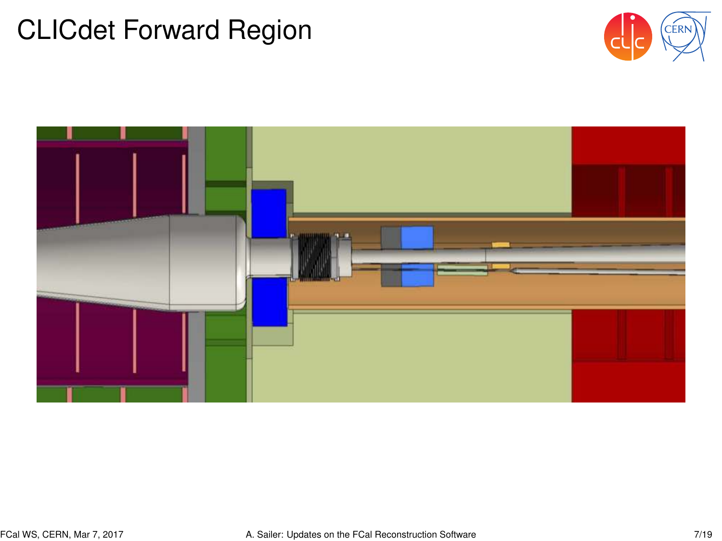#### CLICdet Forward Region



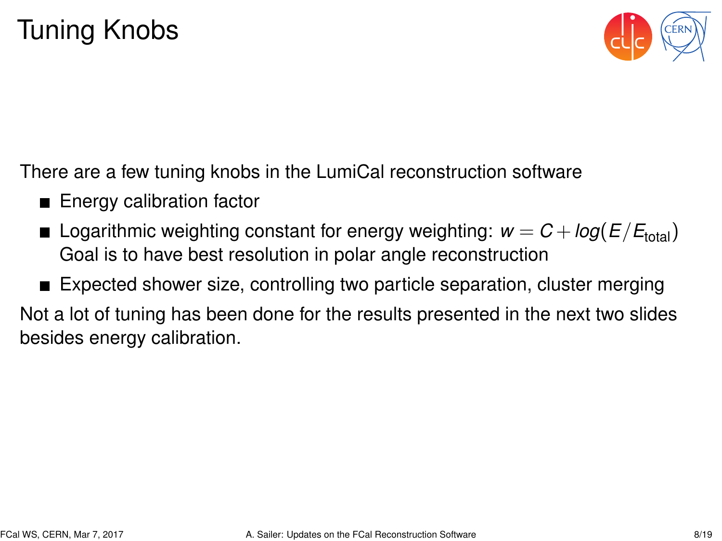

There are a few tuning knobs in the LumiCal reconstruction software

- **Energy calibration factor**
- **E** Logarithmic weighting constant for energy weighting:  $w = C + \log(E/E_{total})$ Goal is to have best resolution in polar angle reconstruction
- Expected shower size, controlling two particle separation, cluster merging

Not a lot of tuning has been done for the results presented in the next two slides besides energy calibration.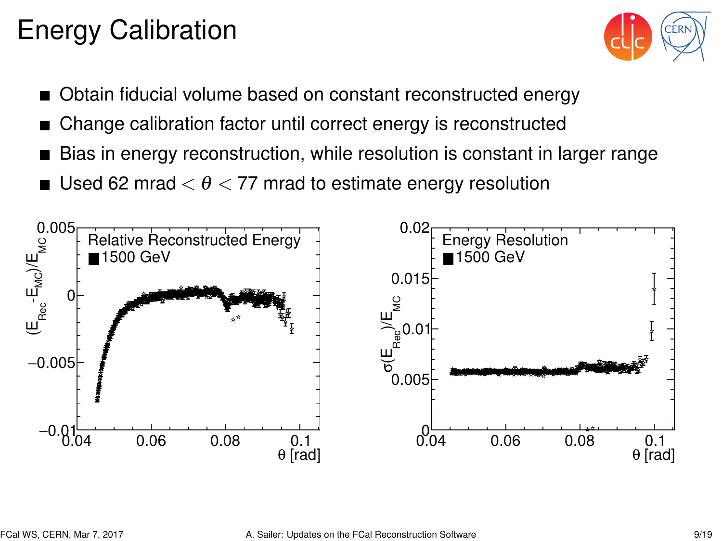# Energy Calibration



- Obtain fiducial volume based on constant reconstructed energy
- Change calibration factor until correct energy is reconstructed
- Bias in energy reconstruction, while resolution is constant in larger range
- Used 62 mrad  $< \theta < 77$  mrad to estimate energy resolution

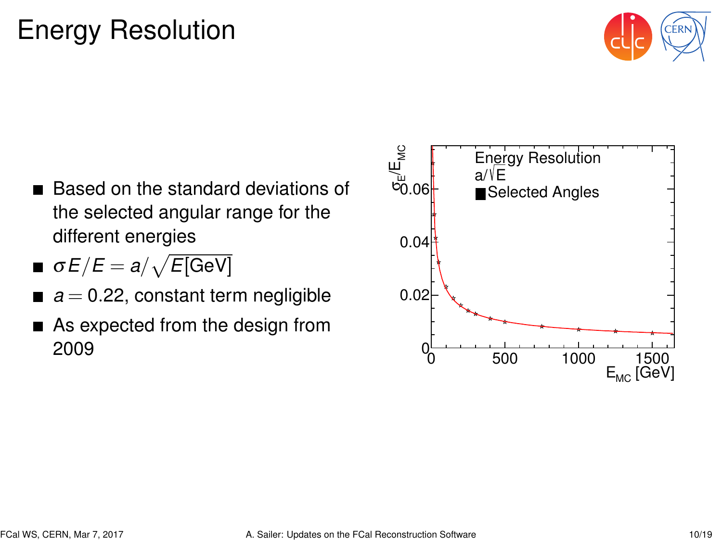# Energy Resolution



- Based on the standard deviations of the selected angular range for the different energies
- $\sigma E/E = a/\sqrt{E[\rm GeV]}$
- $a = 0.22$ , constant term negligible
- As expected from the design from 2009

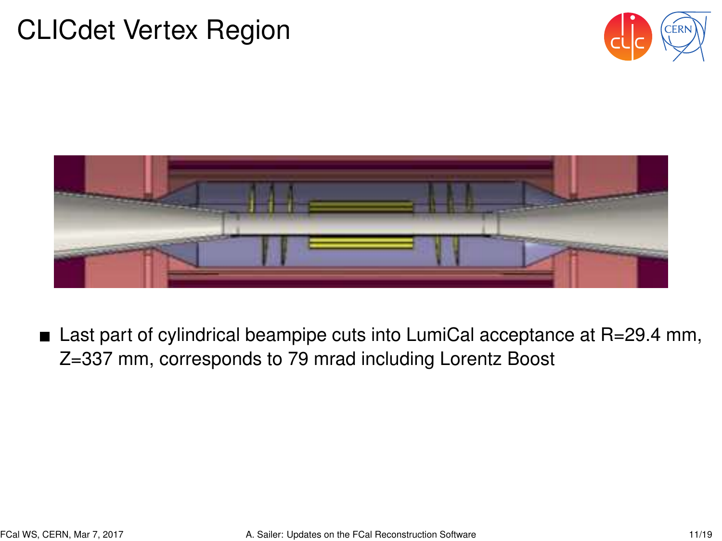#### CLICdet Vertex Region





■ Last part of cylindrical beampipe cuts into LumiCal acceptance at R=29.4 mm, Z=337 mm, corresponds to 79 mrad including Lorentz Boost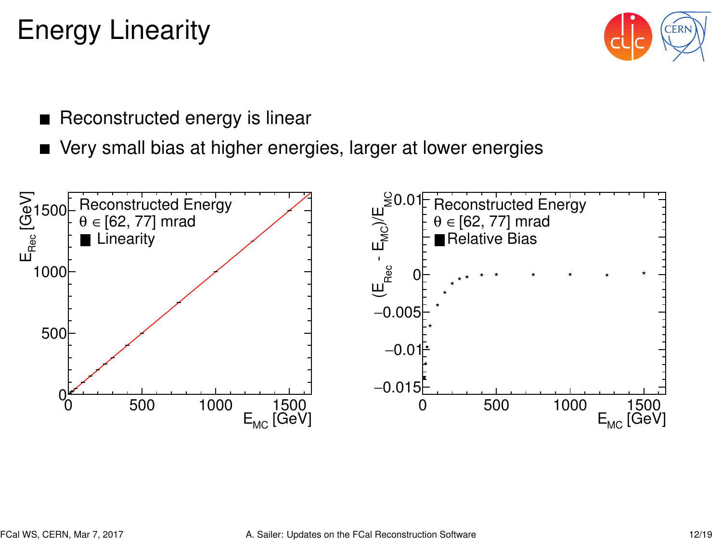## Energy Linearity



- Reconstructed energy is linear
- Very small bias at higher energies, larger at lower energies

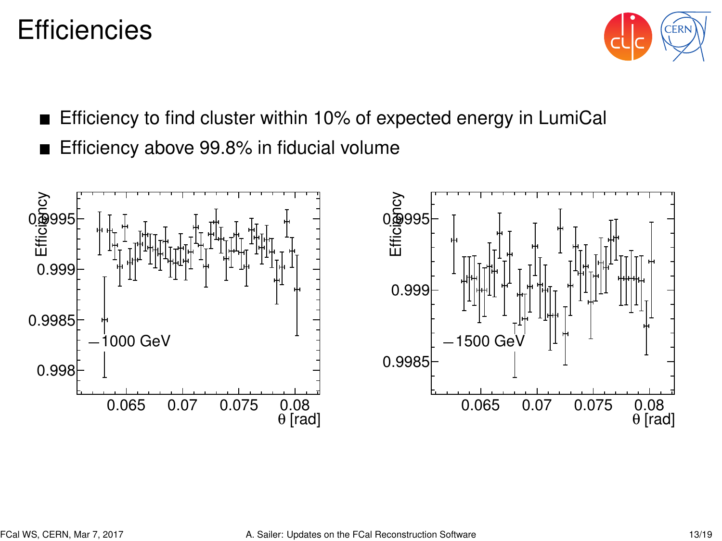#### **Efficiencies**



- Efficiency to find cluster within 10% of expected energy in LumiCal
- Efficiency above 99.8% in fiducial volume

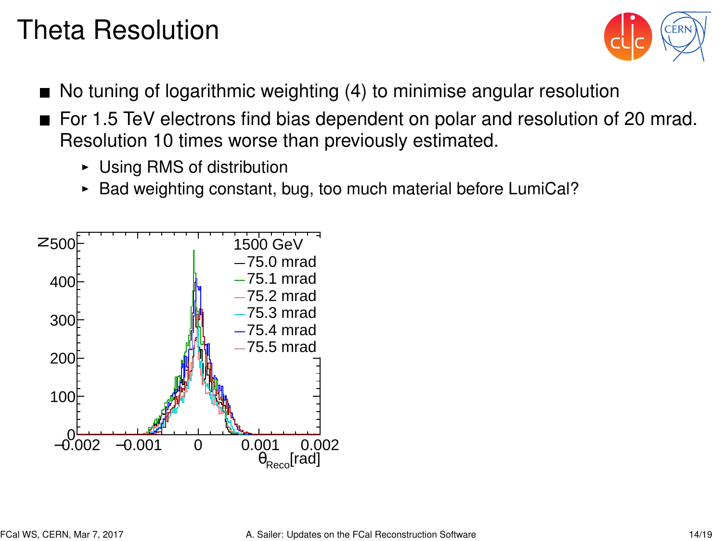# Theta Resolution



- $\blacksquare$  No tuning of logarithmic weighting (4) to minimise angular resolution
- For 1.5 TeV electrons find bias dependent on polar and resolution of 20 mrad. Resolution 10 times worse than previously estimated.
	- $\triangleright$  Using RMS of distribution
	- $\triangleright$  Bad weighting constant, bug, too much material before LumiCal?

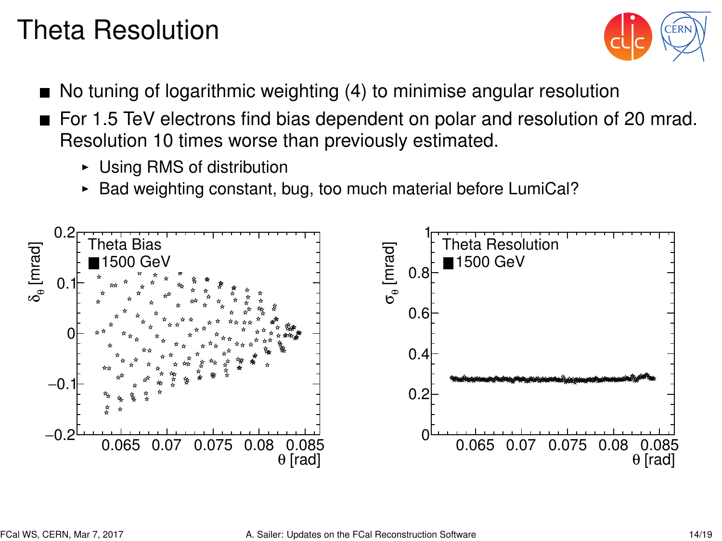# Theta Resolution



- No tuning of logarithmic weighting (4) to minimise angular resolution
- For 1.5 TeV electrons find bias dependent on polar and resolution of 20 mrad. Resolution 10 times worse than previously estimated.
	- $\triangleright$  Using RMS of distribution
	- $\triangleright$  Bad weighting constant, bug, too much material before LumiCal?

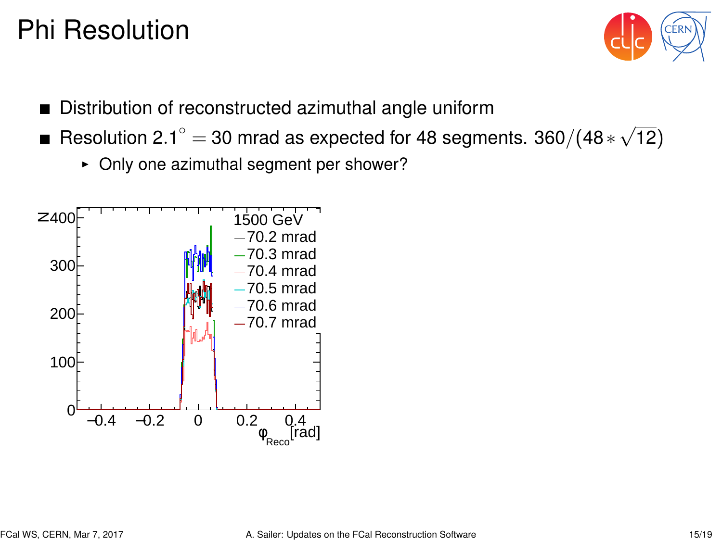#### Phi Resolution



- Distribution of reconstructed azimuthal angle uniform
- $\frac{2.5 \text{ m/s}}{1000}$  and as expected for 48 segments. 360/(48  $\ast$   $\sqrt{ }$ ) 12)
	- $\triangleright$  Only one azimuthal segment per shower?

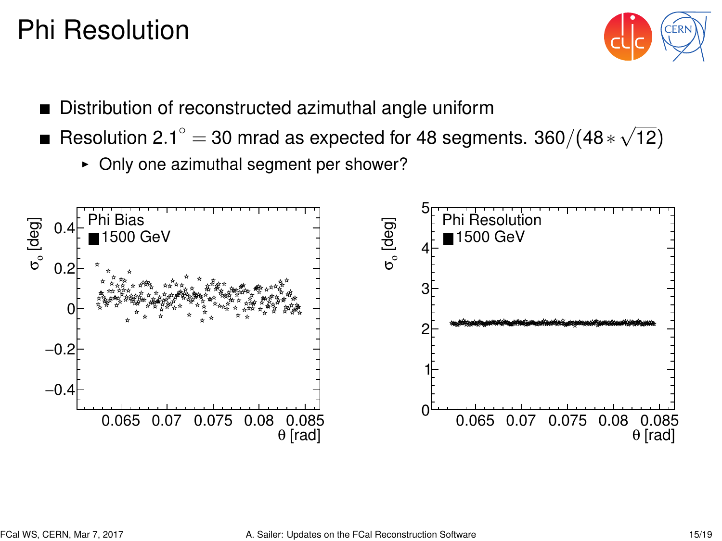#### Phi Resolution



- Distribution of reconstructed azimuthal angle uniform
- $\frac{2.5 \text{ m/s}}{1000}$  and as expected for 48 segments. 360/(48  $\ast$   $\sqrt{ }$ ) 12)
	- $\triangleright$  Only one azimuthal segment per shower?

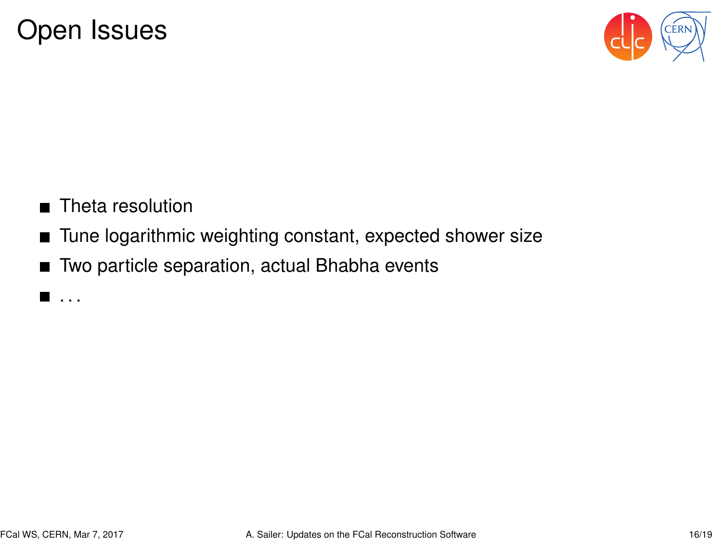

- Theta resolution
- Tune logarithmic weighting constant, expected shower size
- Two particle separation, actual Bhabha events

 $\blacksquare$ . . .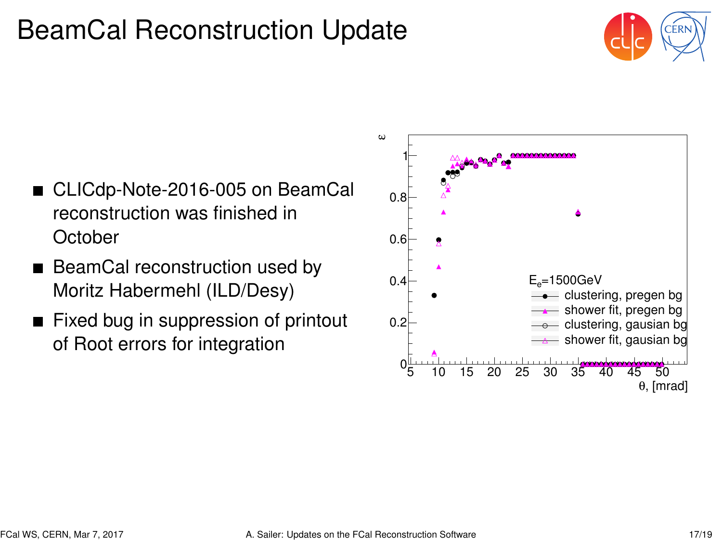## <span id="page-18-0"></span>BeamCal Reconstruction Update



- CLICdp-Note-2016-005 on BeamCal reconstruction was finished in **October**
- BeamCal reconstruction used by Moritz Habermehl (ILD/Desy)
- Fixed bug in suppression of printout of Root errors for integration

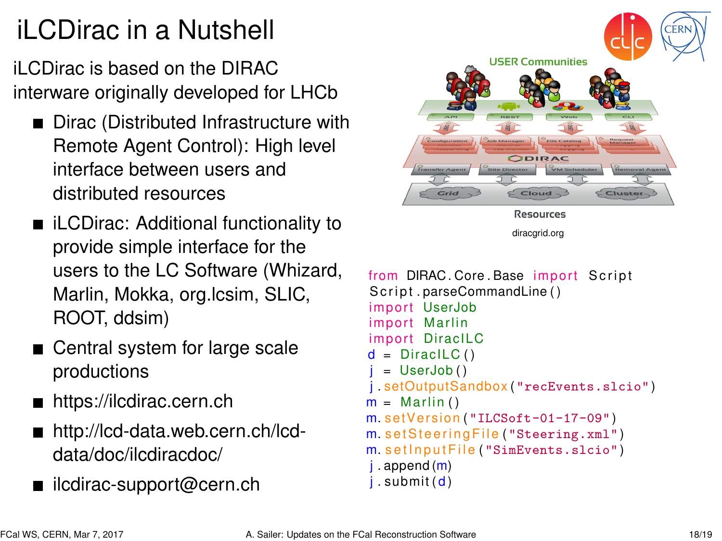# <span id="page-19-0"></span>iLCDirac in a Nutshell

iLCDirac is based on the DIRAC interware originally developed for LHCb

- Dirac (Distributed Infrastructure with Remote Agent Control): High level interface between users and distributed resources
- iLCDirac: Additional functionality to provide simple interface for the users to the LC Software (Whizard, Marlin, Mokka, org.lcsim, SLIC, ROOT, ddsim)
- Central system for large scale productions
- <https://ilcdirac.cern.ch>
- [http://lcd-data.web.cern.ch/lcd](http://lcd-data.web.cern.ch/lcd-data/doc/ilcdiracdoc/)[data/doc/ilcdiracdoc/](http://lcd-data.web.cern.ch/lcd-data/doc/ilcdiracdoc/)
- [ilcdirac-support@cern.ch](mailto:ilcdirac-support@cern.ch)



```
from DIRAC. Core. Base import Script
Script \, narseCommandLine()import UserJob
import Marlin
import DiracILC
d = DiracILC()= UserJob()
j . setOutputSandbox ( "recEvents.slcio" )
m = Marlin ()
m. setVersion ("ILCSoft-01-17-09")
m. set Steering File ("Steering.xml")
m. set Input File ("SimEvents.slcio")
i. append (m)i. submit (d)
```